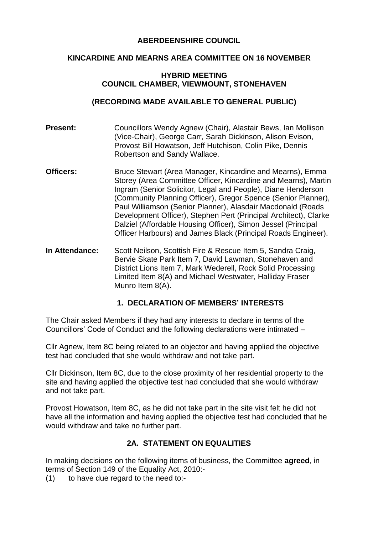### **ABERDEENSHIRE COUNCIL**

#### **KINCARDINE AND MEARNS AREA COMMITTEE ON 16 NOVEMBER**

#### **HYBRID MEETING COUNCIL CHAMBER, VIEWMOUNT, STONEHAVEN**

## **(RECORDING MADE AVAILABLE TO GENERAL PUBLIC)**

- **Present:** Councillors Wendy Agnew (Chair), Alastair Bews, Ian Mollison (Vice-Chair), George Carr, Sarah Dickinson, Alison Evison, Provost Bill Howatson, Jeff Hutchison, Colin Pike, Dennis Robertson and Sandy Wallace.
- **Officers:** Bruce Stewart (Area Manager, Kincardine and Mearns), Emma Storey (Area Committee Officer, Kincardine and Mearns), Martin Ingram (Senior Solicitor, Legal and People), Diane Henderson (Community Planning Officer), Gregor Spence (Senior Planner), Paul Williamson (Senior Planner), Alasdair Macdonald (Roads Development Officer), Stephen Pert (Principal Architect), Clarke Dalziel (Affordable Housing Officer), Simon Jessel (Principal Officer Harbours) and James Black (Principal Roads Engineer).
- **In Attendance:** Scott Neilson, Scottish Fire & Rescue Item 5, Sandra Craig, Bervie Skate Park Item 7, David Lawman, Stonehaven and District Lions Item 7, Mark Wederell, Rock Solid Processing Limited Item 8(A) and Michael Westwater, Halliday Fraser Munro Item 8(A).

## **1. DECLARATION OF MEMBERS' INTERESTS**

The Chair asked Members if they had any interests to declare in terms of the Councillors' Code of Conduct and the following declarations were intimated –

Cllr Agnew, Item 8C being related to an objector and having applied the objective test had concluded that she would withdraw and not take part.

Cllr Dickinson, Item 8C, due to the close proximity of her residential property to the site and having applied the objective test had concluded that she would withdraw and not take part.

Provost Howatson, Item 8C, as he did not take part in the site visit felt he did not have all the information and having applied the objective test had concluded that he would withdraw and take no further part.

# **2A. STATEMENT ON EQUALITIES**

In making decisions on the following items of business, the Committee **agreed**, in terms of Section 149 of the Equality Act, 2010:-

(1) to have due regard to the need to:-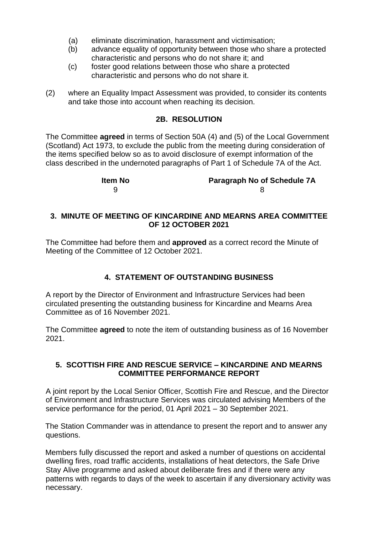- (a) eliminate discrimination, harassment and victimisation;
- (b) advance equality of opportunity between those who share a protected characteristic and persons who do not share it; and
- (c) foster good relations between those who share a protected characteristic and persons who do not share it.
- (2) where an Equality Impact Assessment was provided, to consider its contents and take those into account when reaching its decision.

### **2B. RESOLUTION**

The Committee **agreed** in terms of Section 50A (4) and (5) of the Local Government (Scotland) Act 1973, to exclude the public from the meeting during consideration of the items specified below so as to avoid disclosure of exempt information of the class described in the undernoted paragraphs of Part 1 of Schedule 7A of the Act.

| Item No | <b>Paragraph No of Schedule 7A</b> |
|---------|------------------------------------|
|         |                                    |

### **3. MINUTE OF MEETING OF KINCARDINE AND MEARNS AREA COMMITTEE OF 12 OCTOBER 2021**

The Committee had before them and **approved** as a correct record the Minute of Meeting of the Committee of 12 October 2021.

## **4. STATEMENT OF OUTSTANDING BUSINESS**

A report by the Director of Environment and Infrastructure Services had been circulated presenting the outstanding business for Kincardine and Mearns Area Committee as of 16 November 2021.

The Committee **agreed** to note the item of outstanding business as of 16 November 2021.

#### **5. SCOTTISH FIRE AND RESCUE SERVICE – KINCARDINE AND MEARNS COMMITTEE PERFORMANCE REPORT**

A joint report by the Local Senior Officer, Scottish Fire and Rescue, and the Director of Environment and Infrastructure Services was circulated advising Members of the service performance for the period, 01 April 2021 – 30 September 2021.

The Station Commander was in attendance to present the report and to answer any questions.

Members fully discussed the report and asked a number of questions on accidental dwelling fires, road traffic accidents, installations of heat detectors, the Safe Drive Stay Alive programme and asked about deliberate fires and if there were any patterns with regards to days of the week to ascertain if any diversionary activity was necessary.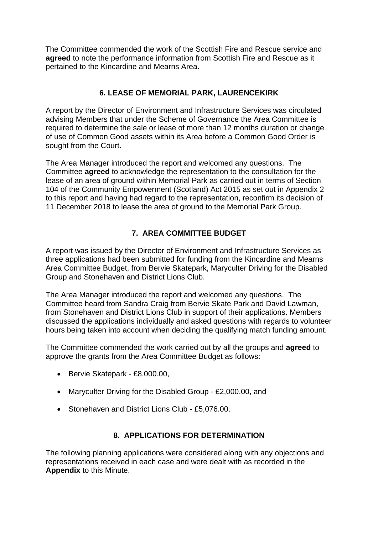The Committee commended the work of the Scottish Fire and Rescue service and **agreed** to note the performance information from Scottish Fire and Rescue as it pertained to the Kincardine and Mearns Area.

# **6. LEASE OF MEMORIAL PARK, LAURENCEKIRK**

A report by the Director of Environment and Infrastructure Services was circulated advising Members that under the Scheme of Governance the Area Committee is required to determine the sale or lease of more than 12 months duration or change of use of Common Good assets within its Area before a Common Good Order is sought from the Court.

The Area Manager introduced the report and welcomed any questions. The Committee **agreed** to acknowledge the representation to the consultation for the lease of an area of ground within Memorial Park as carried out in terms of Section 104 of the Community Empowerment (Scotland) Act 2015 as set out in Appendix 2 to this report and having had regard to the representation, reconfirm its decision of 11 December 2018 to lease the area of ground to the Memorial Park Group.

# **7. AREA COMMITTEE BUDGET**

A report was issued by the Director of Environment and Infrastructure Services as three applications had been submitted for funding from the Kincardine and Mearns Area Committee Budget, from Bervie Skatepark, Maryculter Driving for the Disabled Group and Stonehaven and District Lions Club.

The Area Manager introduced the report and welcomed any questions. The Committee heard from Sandra Craig from Bervie Skate Park and David Lawman, from Stonehaven and District Lions Club in support of their applications. Members discussed the applications individually and asked questions with regards to volunteer hours being taken into account when deciding the qualifying match funding amount.

The Committee commended the work carried out by all the groups and **agreed** to approve the grants from the Area Committee Budget as follows:

- Bervie Skatepark £8,000.00,
- Maryculter Driving for the Disabled Group £2,000.00, and
- Stonehaven and District Lions Club £5,076.00.

# **8. APPLICATIONS FOR DETERMINATION**

The following planning applications were considered along with any objections and representations received in each case and were dealt with as recorded in the **Appendix** to this Minute.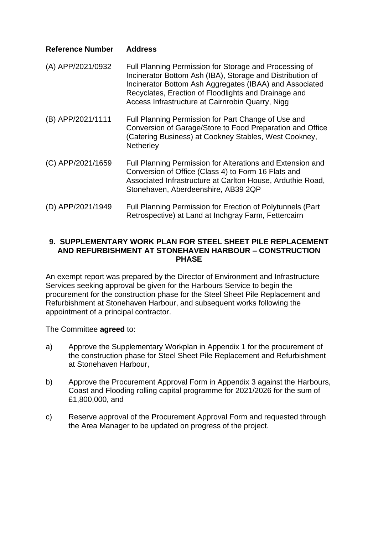### **Reference Number Address**

- (A) APP/2021/0932 Full Planning Permission for Storage and Processing of Incinerator Bottom Ash (IBA), Storage and Distribution of Incinerator Bottom Ash Aggregates (IBAA) and Associated Recyclates, Erection of Floodlights and Drainage and Access Infrastructure at Cairnrobin Quarry, Nigg
- (B) APP/2021/1111 Full Planning Permission for Part Change of Use and Conversion of Garage/Store to Food Preparation and Office (Catering Business) at Cookney Stables, West Cookney, **Netherley**
- (C) APP/2021/1659 Full Planning Permission for Alterations and Extension and Conversion of Office (Class 4) to Form 16 Flats and Associated Infrastructure at Carlton House, Arduthie Road, Stonehaven, Aberdeenshire, AB39 2QP
- (D) APP/2021/1949 Full Planning Permission for Erection of Polytunnels (Part Retrospective) at Land at Inchgray Farm, Fettercairn

### **9. SUPPLEMENTARY WORK PLAN FOR STEEL SHEET PILE REPLACEMENT AND REFURBISHMENT AT STONEHAVEN HARBOUR – CONSTRUCTION PHASE**

An exempt report was prepared by the Director of Environment and Infrastructure Services seeking approval be given for the Harbours Service to begin the procurement for the construction phase for the Steel Sheet Pile Replacement and Refurbishment at Stonehaven Harbour, and subsequent works following the appointment of a principal contractor.

The Committee **agreed** to:

- a) Approve the Supplementary Workplan in Appendix 1 for the procurement of the construction phase for Steel Sheet Pile Replacement and Refurbishment at Stonehaven Harbour,
- b) Approve the Procurement Approval Form in Appendix 3 against the Harbours, Coast and Flooding rolling capital programme for 2021/2026 for the sum of £1,800,000, and
- c) Reserve approval of the Procurement Approval Form and requested through the Area Manager to be updated on progress of the project.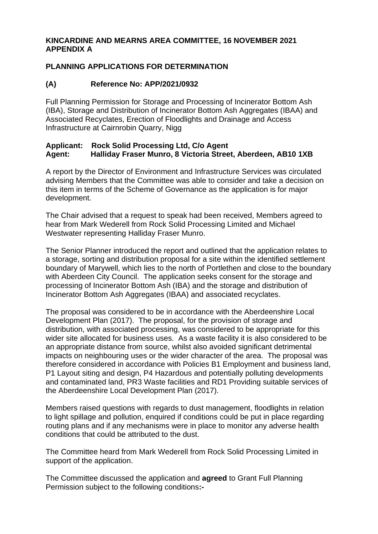### **KINCARDINE AND MEARNS AREA COMMITTEE, 16 NOVEMBER 2021 APPENDIX A**

## **PLANNING APPLICATIONS FOR DETERMINATION**

## **(A) Reference No: APP/2021/0932**

Full Planning Permission for Storage and Processing of Incinerator Bottom Ash (IBA), Storage and Distribution of Incinerator Bottom Ash Aggregates (IBAA) and Associated Recyclates, Erection of Floodlights and Drainage and Access Infrastructure at Cairnrobin Quarry, Nigg

### **Applicant: Rock Solid Processing Ltd, C/o Agent Agent: Halliday Fraser Munro, 8 Victoria Street, Aberdeen, AB10 1XB**

A report by the Director of Environment and Infrastructure Services was circulated advising Members that the Committee was able to consider and take a decision on this item in terms of the Scheme of Governance as the application is for major development.

The Chair advised that a request to speak had been received, Members agreed to hear from Mark Wederell from Rock Solid Processing Limited and Michael Westwater representing Halliday Fraser Munro.

The Senior Planner introduced the report and outlined that the application relates to a storage, sorting and distribution proposal for a site within the identified settlement boundary of Marywell, which lies to the north of Portlethen and close to the boundary with Aberdeen City Council. The application seeks consent for the storage and processing of Incinerator Bottom Ash (IBA) and the storage and distribution of Incinerator Bottom Ash Aggregates (IBAA) and associated recyclates.

The proposal was considered to be in accordance with the Aberdeenshire Local Development Plan (2017). The proposal, for the provision of storage and distribution, with associated processing, was considered to be appropriate for this wider site allocated for business uses. As a waste facility it is also considered to be an appropriate distance from source, whilst also avoided significant detrimental impacts on neighbouring uses or the wider character of the area. The proposal was therefore considered in accordance with Policies B1 Employment and business land, P1 Layout siting and design, P4 Hazardous and potentially polluting developments and contaminated land, PR3 Waste facilities and RD1 Providing suitable services of the Aberdeenshire Local Development Plan (2017).

Members raised questions with regards to dust management, floodlights in relation to light spillage and pollution, enquired if conditions could be put in place regarding routing plans and if any mechanisms were in place to monitor any adverse health conditions that could be attributed to the dust.

The Committee heard from Mark Wederell from Rock Solid Processing Limited in support of the application.

The Committee discussed the application and **agreed** to Grant Full Planning Permission subject to the following conditions**:-**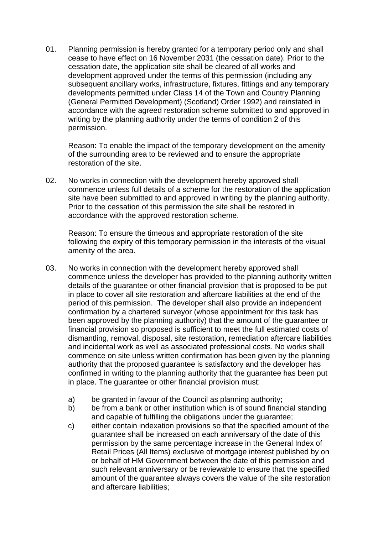01. Planning permission is hereby granted for a temporary period only and shall cease to have effect on 16 November 2031 (the cessation date). Prior to the cessation date, the application site shall be cleared of all works and development approved under the terms of this permission (including any subsequent ancillary works, infrastructure, fixtures, fittings and any temporary developments permitted under Class 14 of the Town and Country Planning (General Permitted Development) (Scotland) Order 1992) and reinstated in accordance with the agreed restoration scheme submitted to and approved in writing by the planning authority under the terms of condition 2 of this permission.

Reason: To enable the impact of the temporary development on the amenity of the surrounding area to be reviewed and to ensure the appropriate restoration of the site.

02. No works in connection with the development hereby approved shall commence unless full details of a scheme for the restoration of the application site have been submitted to and approved in writing by the planning authority. Prior to the cessation of this permission the site shall be restored in accordance with the approved restoration scheme.

Reason: To ensure the timeous and appropriate restoration of the site following the expiry of this temporary permission in the interests of the visual amenity of the area.

- 03. No works in connection with the development hereby approved shall commence unless the developer has provided to the planning authority written details of the guarantee or other financial provision that is proposed to be put in place to cover all site restoration and aftercare liabilities at the end of the period of this permission. The developer shall also provide an independent confirmation by a chartered surveyor (whose appointment for this task has been approved by the planning authority) that the amount of the guarantee or financial provision so proposed is sufficient to meet the full estimated costs of dismantling, removal, disposal, site restoration, remediation aftercare liabilities and incidental work as well as associated professional costs. No works shall commence on site unless written confirmation has been given by the planning authority that the proposed guarantee is satisfactory and the developer has confirmed in writing to the planning authority that the guarantee has been put in place. The guarantee or other financial provision must:
	- a) be granted in favour of the Council as planning authority;
	- b) be from a bank or other institution which is of sound financial standing and capable of fulfilling the obligations under the guarantee;
	- c) either contain indexation provisions so that the specified amount of the guarantee shall be increased on each anniversary of the date of this permission by the same percentage increase in the General Index of Retail Prices (All Items) exclusive of mortgage interest published by on or behalf of HM Government between the date of this permission and such relevant anniversary or be reviewable to ensure that the specified amount of the guarantee always covers the value of the site restoration and aftercare liabilities;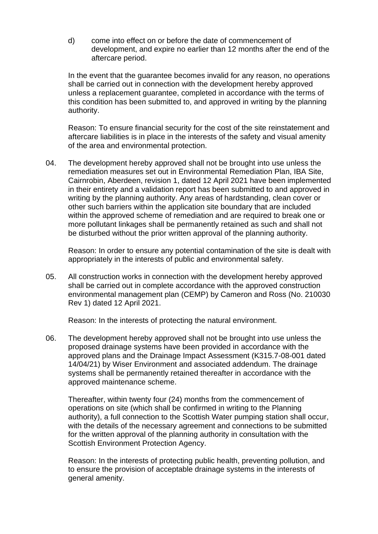d) come into effect on or before the date of commencement of development, and expire no earlier than 12 months after the end of the aftercare period.

In the event that the guarantee becomes invalid for any reason, no operations shall be carried out in connection with the development hereby approved unless a replacement guarantee, completed in accordance with the terms of this condition has been submitted to, and approved in writing by the planning authority.

Reason: To ensure financial security for the cost of the site reinstatement and aftercare liabilities is in place in the interests of the safety and visual amenity of the area and environmental protection.

04. The development hereby approved shall not be brought into use unless the remediation measures set out in Environmental Remediation Plan, IBA Site, Cairnrobin, Aberdeen, revision 1, dated 12 April 2021 have been implemented in their entirety and a validation report has been submitted to and approved in writing by the planning authority. Any areas of hardstanding, clean cover or other such barriers within the application site boundary that are included within the approved scheme of remediation and are required to break one or more pollutant linkages shall be permanently retained as such and shall not be disturbed without the prior written approval of the planning authority.

Reason: In order to ensure any potential contamination of the site is dealt with appropriately in the interests of public and environmental safety.

05. All construction works in connection with the development hereby approved shall be carried out in complete accordance with the approved construction environmental management plan (CEMP) by Cameron and Ross (No. 210030 Rev 1) dated 12 April 2021.

Reason: In the interests of protecting the natural environment.

06. The development hereby approved shall not be brought into use unless the proposed drainage systems have been provided in accordance with the approved plans and the Drainage Impact Assessment (K315.7-08-001 dated 14/04/21) by Wiser Environment and associated addendum. The drainage systems shall be permanently retained thereafter in accordance with the approved maintenance scheme.

Thereafter, within twenty four (24) months from the commencement of operations on site (which shall be confirmed in writing to the Planning authority), a full connection to the Scottish Water pumping station shall occur, with the details of the necessary agreement and connections to be submitted for the written approval of the planning authority in consultation with the Scottish Environment Protection Agency.

Reason: In the interests of protecting public health, preventing pollution, and to ensure the provision of acceptable drainage systems in the interests of general amenity.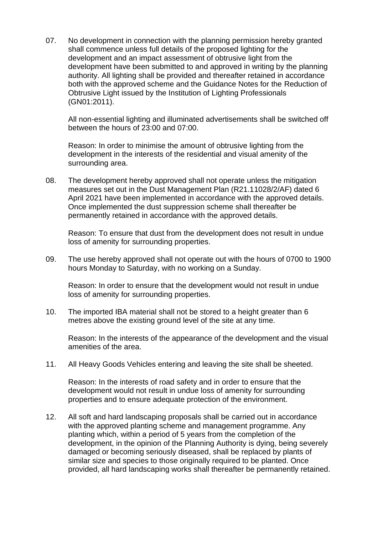07. No development in connection with the planning permission hereby granted shall commence unless full details of the proposed lighting for the development and an impact assessment of obtrusive light from the development have been submitted to and approved in writing by the planning authority. All lighting shall be provided and thereafter retained in accordance both with the approved scheme and the Guidance Notes for the Reduction of Obtrusive Light issued by the Institution of Lighting Professionals (GN01:2011).

All non-essential lighting and illuminated advertisements shall be switched off between the hours of 23:00 and 07:00.

Reason: In order to minimise the amount of obtrusive lighting from the development in the interests of the residential and visual amenity of the surrounding area.

08. The development hereby approved shall not operate unless the mitigation measures set out in the Dust Management Plan (R21.11028/2/AF) dated 6 April 2021 have been implemented in accordance with the approved details. Once implemented the dust suppression scheme shall thereafter be permanently retained in accordance with the approved details.

Reason: To ensure that dust from the development does not result in undue loss of amenity for surrounding properties.

09. The use hereby approved shall not operate out with the hours of 0700 to 1900 hours Monday to Saturday, with no working on a Sunday.

Reason: In order to ensure that the development would not result in undue loss of amenity for surrounding properties.

10. The imported IBA material shall not be stored to a height greater than 6 metres above the existing ground level of the site at any time.

Reason: In the interests of the appearance of the development and the visual amenities of the area.

11. All Heavy Goods Vehicles entering and leaving the site shall be sheeted.

Reason: In the interests of road safety and in order to ensure that the development would not result in undue loss of amenity for surrounding properties and to ensure adequate protection of the environment.

12. All soft and hard landscaping proposals shall be carried out in accordance with the approved planting scheme and management programme. Any planting which, within a period of 5 years from the completion of the development, in the opinion of the Planning Authority is dying, being severely damaged or becoming seriously diseased, shall be replaced by plants of similar size and species to those originally required to be planted. Once provided, all hard landscaping works shall thereafter be permanently retained.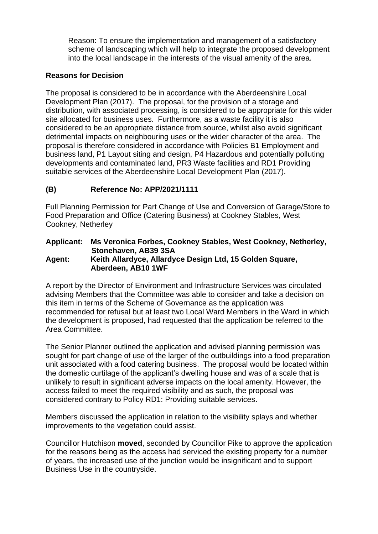Reason: To ensure the implementation and management of a satisfactory scheme of landscaping which will help to integrate the proposed development into the local landscape in the interests of the visual amenity of the area.

### **Reasons for Decision**

The proposal is considered to be in accordance with the Aberdeenshire Local Development Plan (2017). The proposal, for the provision of a storage and distribution, with associated processing, is considered to be appropriate for this wider site allocated for business uses. Furthermore, as a waste facility it is also considered to be an appropriate distance from source, whilst also avoid significant detrimental impacts on neighbouring uses or the wider character of the area. The proposal is therefore considered in accordance with Policies B1 Employment and business land, P1 Layout siting and design, P4 Hazardous and potentially polluting developments and contaminated land, PR3 Waste facilities and RD1 Providing suitable services of the Aberdeenshire Local Development Plan (2017).

## **(B) Reference No: APP/2021/1111**

Full Planning Permission for Part Change of Use and Conversion of Garage/Store to Food Preparation and Office (Catering Business) at Cookney Stables, West Cookney, Netherley

#### **Applicant: Ms Veronica Forbes, Cookney Stables, West Cookney, Netherley, Stonehaven, AB39 3SA Agent: Keith Allardyce, Allardyce Design Ltd, 15 Golden Square, Aberdeen, AB10 1WF**

A report by the Director of Environment and Infrastructure Services was circulated advising Members that the Committee was able to consider and take a decision on this item in terms of the Scheme of Governance as the application was recommended for refusal but at least two Local Ward Members in the Ward in which the development is proposed, had requested that the application be referred to the Area Committee.

The Senior Planner outlined the application and advised planning permission was sought for part change of use of the larger of the outbuildings into a food preparation unit associated with a food catering business. The proposal would be located within the domestic curtilage of the applicant's dwelling house and was of a scale that is unlikely to result in significant adverse impacts on the local amenity. However, the access failed to meet the required visibility and as such, the proposal was considered contrary to Policy RD1: Providing suitable services.

Members discussed the application in relation to the visibility splays and whether improvements to the vegetation could assist.

Councillor Hutchison **moved**, seconded by Councillor Pike to approve the application for the reasons being as the access had serviced the existing property for a number of years, the increased use of the junction would be insignificant and to support Business Use in the countryside.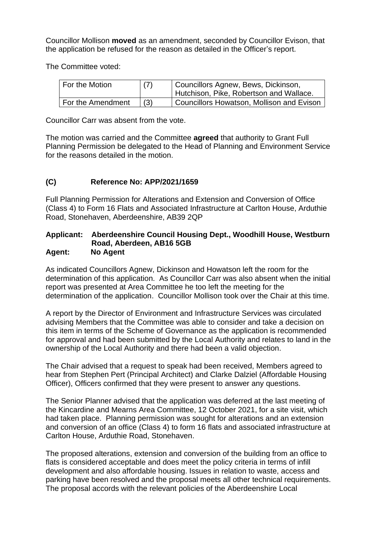Councillor Mollison **moved** as an amendment, seconded by Councillor Evison, that the application be refused for the reason as detailed in the Officer's report.

The Committee voted:

| For the Motion    | (7) | Councillors Agnew, Bews, Dickinson,<br>Hutchison, Pike, Robertson and Wallace. |
|-------------------|-----|--------------------------------------------------------------------------------|
| For the Amendment | (3) | Councillors Howatson, Mollison and Evison                                      |

Councillor Carr was absent from the vote.

The motion was carried and the Committee **agreed** that authority to Grant Full Planning Permission be delegated to the Head of Planning and Environment Service for the reasons detailed in the motion.

# **(C) Reference No: APP/2021/1659**

Full Planning Permission for Alterations and Extension and Conversion of Office (Class 4) to Form 16 Flats and Associated Infrastructure at Carlton House, Arduthie Road, Stonehaven, Aberdeenshire, AB39 2QP

#### **Applicant: Aberdeenshire Council Housing Dept., Woodhill House, Westburn Road, Aberdeen, AB16 5GB Agent: No Agent**

As indicated Councillors Agnew, Dickinson and Howatson left the room for the determination of this application. As Councillor Carr was also absent when the initial report was presented at Area Committee he too left the meeting for the determination of the application. Councillor Mollison took over the Chair at this time.

A report by the Director of Environment and Infrastructure Services was circulated advising Members that the Committee was able to consider and take a decision on this item in terms of the Scheme of Governance as the application is recommended for approval and had been submitted by the Local Authority and relates to land in the ownership of the Local Authority and there had been a valid objection.

The Chair advised that a request to speak had been received, Members agreed to hear from Stephen Pert (Principal Architect) and Clarke Dalziel (Affordable Housing Officer), Officers confirmed that they were present to answer any questions.

The Senior Planner advised that the application was deferred at the last meeting of the Kincardine and Mearns Area Committee, 12 October 2021, for a site visit, which had taken place. Planning permission was sought for alterations and an extension and conversion of an office (Class 4) to form 16 flats and associated infrastructure at Carlton House, Arduthie Road, Stonehaven.

The proposed alterations, extension and conversion of the building from an office to flats is considered acceptable and does meet the policy criteria in terms of infill development and also affordable housing. Issues in relation to waste, access and parking have been resolved and the proposal meets all other technical requirements. The proposal accords with the relevant policies of the Aberdeenshire Local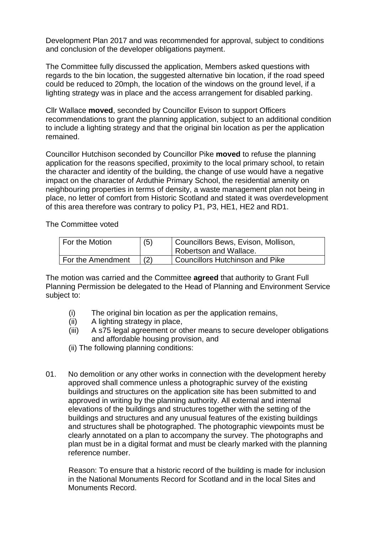Development Plan 2017 and was recommended for approval, subject to conditions and conclusion of the developer obligations payment.

The Committee fully discussed the application, Members asked questions with regards to the bin location, the suggested alternative bin location, if the road speed could be reduced to 20mph, the location of the windows on the ground level, if a lighting strategy was in place and the access arrangement for disabled parking.

Cllr Wallace **moved**, seconded by Councillor Evison to support Officers recommendations to grant the planning application, subject to an additional condition to include a lighting strategy and that the original bin location as per the application remained.

Councillor Hutchison seconded by Councillor Pike **moved** to refuse the planning application for the reasons specified, proximity to the local primary school, to retain the character and identity of the building, the change of use would have a negative impact on the character of Arduthie Primary School, the residential amenity on neighbouring properties in terms of density, a waste management plan not being in place, no letter of comfort from Historic Scotland and stated it was overdevelopment of this area therefore was contrary to policy P1, P3, HE1, HE2 and RD1.

The Committee voted

| <sup>1</sup> For the Motion | (5) | Councillors Bews, Evison, Mollison, |
|-----------------------------|-----|-------------------------------------|
|                             |     | Robertson and Wallace.              |
| For the Amendment           |     | Councillors Hutchinson and Pike     |

The motion was carried and the Committee **agreed** that authority to Grant Full Planning Permission be delegated to the Head of Planning and Environment Service subject to:

- (i) The original bin location as per the application remains,
- (ii) A lighting strategy in place,
- (iii) A s75 legal agreement or other means to secure developer obligations and affordable housing provision, and
- (ii) The following planning conditions:
- 01. No demolition or any other works in connection with the development hereby approved shall commence unless a photographic survey of the existing buildings and structures on the application site has been submitted to and approved in writing by the planning authority. All external and internal elevations of the buildings and structures together with the setting of the buildings and structures and any unusual features of the existing buildings and structures shall be photographed. The photographic viewpoints must be clearly annotated on a plan to accompany the survey. The photographs and plan must be in a digital format and must be clearly marked with the planning reference number.

Reason: To ensure that a historic record of the building is made for inclusion in the National Monuments Record for Scotland and in the local Sites and Monuments Record.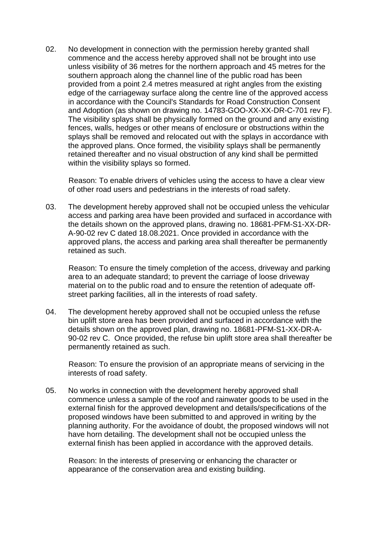02. No development in connection with the permission hereby granted shall commence and the access hereby approved shall not be brought into use unless visibility of 36 metres for the northern approach and 45 metres for the southern approach along the channel line of the public road has been provided from a point 2.4 metres measured at right angles from the existing edge of the carriageway surface along the centre line of the approved access in accordance with the Council's Standards for Road Construction Consent and Adoption (as shown on drawing no. 14783-GOO-XX-XX-DR-C-701 rev F). The visibility splays shall be physically formed on the ground and any existing fences, walls, hedges or other means of enclosure or obstructions within the splays shall be removed and relocated out with the splays in accordance with the approved plans. Once formed, the visibility splays shall be permanently retained thereafter and no visual obstruction of any kind shall be permitted within the visibility splays so formed.

Reason: To enable drivers of vehicles using the access to have a clear view of other road users and pedestrians in the interests of road safety.

03. The development hereby approved shall not be occupied unless the vehicular access and parking area have been provided and surfaced in accordance with the details shown on the approved plans, drawing no. 18681-PFM-S1-XX-DR-A-90-02 rev C dated 18.08.2021. Once provided in accordance with the approved plans, the access and parking area shall thereafter be permanently retained as such.

Reason: To ensure the timely completion of the access, driveway and parking area to an adequate standard; to prevent the carriage of loose driveway material on to the public road and to ensure the retention of adequate offstreet parking facilities, all in the interests of road safety.

04. The development hereby approved shall not be occupied unless the refuse bin uplift store area has been provided and surfaced in accordance with the details shown on the approved plan, drawing no. 18681-PFM-S1-XX-DR-A-90-02 rev C. Once provided, the refuse bin uplift store area shall thereafter be permanently retained as such.

Reason: To ensure the provision of an appropriate means of servicing in the interests of road safety.

05. No works in connection with the development hereby approved shall commence unless a sample of the roof and rainwater goods to be used in the external finish for the approved development and details/specifications of the proposed windows have been submitted to and approved in writing by the planning authority. For the avoidance of doubt, the proposed windows will not have horn detailing. The development shall not be occupied unless the external finish has been applied in accordance with the approved details.

Reason: In the interests of preserving or enhancing the character or appearance of the conservation area and existing building.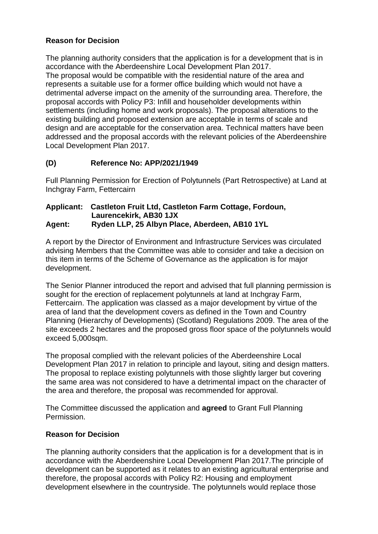# **Reason for Decision**

The planning authority considers that the application is for a development that is in accordance with the Aberdeenshire Local Development Plan 2017. The proposal would be compatible with the residential nature of the area and represents a suitable use for a former office building which would not have a detrimental adverse impact on the amenity of the surrounding area. Therefore, the proposal accords with Policy P3: Infill and householder developments within settlements (including home and work proposals). The proposal alterations to the existing building and proposed extension are acceptable in terms of scale and design and are acceptable for the conservation area. Technical matters have been addressed and the proposal accords with the relevant policies of the Aberdeenshire Local Development Plan 2017.

# **(D) Reference No: APP/2021/1949**

Full Planning Permission for Erection of Polytunnels (Part Retrospective) at Land at Inchgray Farm, Fettercairn

#### **Applicant: Castleton Fruit Ltd, Castleton Farm Cottage, Fordoun, Laurencekirk, AB30 1JX Agent: Ryden LLP, 25 Albyn Place, Aberdeen, AB10 1YL**

A report by the Director of Environment and Infrastructure Services was circulated advising Members that the Committee was able to consider and take a decision on this item in terms of the Scheme of Governance as the application is for major development.

The Senior Planner introduced the report and advised that full planning permission is sought for the erection of replacement polytunnels at land at Inchgray Farm, Fettercairn. The application was classed as a major development by virtue of the area of land that the development covers as defined in the Town and Country Planning (Hierarchy of Developments) (Scotland) Regulations 2009. The area of the site exceeds 2 hectares and the proposed gross floor space of the polytunnels would exceed 5,000sqm.

The proposal complied with the relevant policies of the Aberdeenshire Local Development Plan 2017 in relation to principle and layout, siting and design matters. The proposal to replace existing polytunnels with those slightly larger but covering the same area was not considered to have a detrimental impact on the character of the area and therefore, the proposal was recommended for approval.

The Committee discussed the application and **agreed** to Grant Full Planning Permission.

## **Reason for Decision**

The planning authority considers that the application is for a development that is in accordance with the Aberdeenshire Local Development Plan 2017.The principle of development can be supported as it relates to an existing agricultural enterprise and therefore, the proposal accords with Policy R2: Housing and employment development elsewhere in the countryside. The polytunnels would replace those